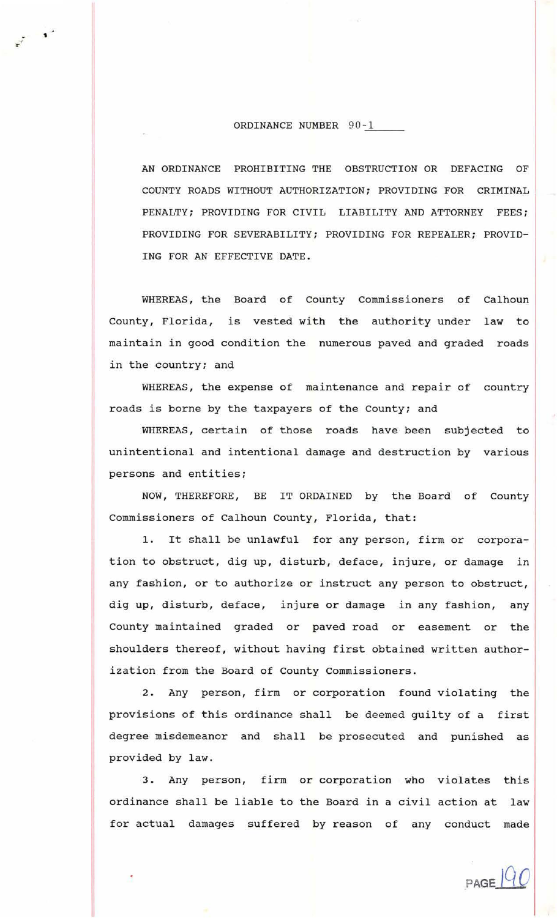## ORDINANCE NUMBER 90-1

'

AN ORDINANCE PROHIBITING THE OBSTRUCTION OR DEFACING OF COUNTY ROADS WITHOUT AUTHORIZATION; PROVIDING FOR CRIMINAL PENALTY; PROVIDING FOR CIVIL LIABILITY AND ATTORNEY FEES; PROVIDING FOR SEVERABILITY; PROVIDING FOR REPEALER; PROVID-ING FOR AN EFFECTIVE DATE.

WHEREAS, the Board of County Commissioners of Calhoun County, Florida, is vested with the authority under law to maintain in good condition the numerous paved and graded roads in the country; and

WHEREAS, the expense of maintenance and repair of country roads is borne by the taxpayers of the County; and

WHEREAS, certain of those roads have been subjected to unintentional and intentional damage and destruction by various persons and entities;

NOW, THEREFORE, BE IT ORDAINED by the Board of County Commissioners of Calhoun county, Florida, that:

1. It shall be unlawful for any person, firm or corporation to obstruct, dig up, disturb, deface, injure, or damage in any fashion, or to authorize or instruct any person to obstruct, dig up, disturb, deface, injure or damage in any fashion, any County maintained graded or paved road or easement or the shoulders thereof, without having first obtained written authorization from the Board of County Commissioners.

2. Any person, firm or corporation found violating the provisions of this ordinance shall be deemed guilty of a first degree misdemeanor and shall be prosecuted and punished as provided by law.

3. Any person, firm or corporation who violates this ordinance shall be liable to the Board in a civil action at law for actual damages suffered by reason of any conduct made

 $PAGE$ <sup> $|QC$ </sup>